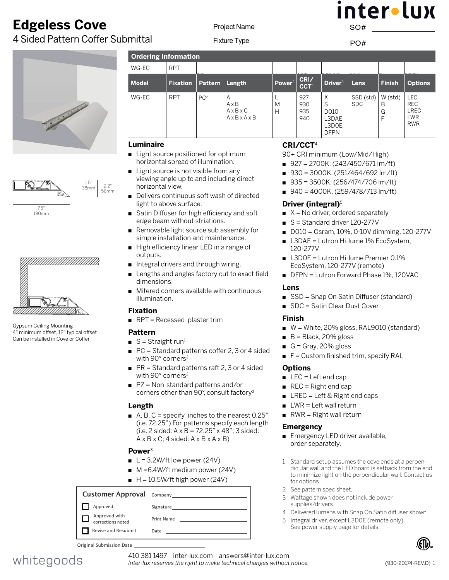# **Edgeless Cove**

4 Sided Pattern Coffer Submittal





190mm



Gypsum Ceiling Mounting 4" minimum offset, 12" typical offset Can be installed in Cove or Coffer

**Ordering Information**  WG-EC RPT **Model Fixation Pattern Length Power**<sup>3</sup> **CRI/ CCT**<sup>4</sup> **Driver**<sup>5</sup> **Lens Finish Options**  $WG-EC$  RPT  $PC^2$  A A x B A x B x C A x B x A x B  $\mathbf{L}$ M H 927 930 935 940 X S D010 L3DAE L3D0E DFPN SSD (std) SDC W (std) B G F LEC REC LREC LWR RWR  $\mathcal{S}$  and  $\mathcal{S}$  and  $\mathcal{S}$  and  $\mathcal{S}$  and  $\mathcal{S}$  and  $\mathcal{S}$  and  $\mathcal{S}$  and  $\mathcal{S}$  and  $\mathcal{S}$  and  $\mathcal{S}$  and  $\mathcal{S}$  and  $\mathcal{S}$  and  $\mathcal{S}$  and  $\mathcal{S}$  and  $\mathcal{S}$  and  $\mathcal{S}$  and  $\mathcal{S}$  and

# **Luminaire**

2.2" 56mm

- Light source positioned for optimum horizontal spread of illumination.
- $\blacksquare$  Light source is not visible from any viewing angle up to and including direct horizontal view.
- Delivers continuous soft wash of directed light to above surface.
- Satin Diffuser for high efficiency and soft edge beam without striations.
- Removable light source sub assembly for simple installation and maintenance.
- High efficiency linear LED in a range of outputs.
- n Integral drivers and through wiring.
- Lengths and angles factory cut to exact field dimensions.
- $\blacksquare$  Mitered corners available with continuous illumination.

# **Fixation**

 $RPT =$  Recessed plaster trim

# **Pattern**

- $S =$  Straight run<sup>1</sup>
- $\blacksquare$  PC = Standard patterns coffer 2, 3 or 4 sided with 90° corners<sup>2</sup>
- $PR = Standard patterns$  raft 2, 3 or 4 sided with 90° corners<sup>2</sup>
- $PZ = Non-standard patterns and/or$ corners other than 90°, consult factory2

### **Length**

A, B, C = specify inches to the nearest  $0.25$ " (i.e. 72.25") For patterns specify each length (i.e. 2 sided:  $A \times B = 72.25$ "  $\times$  48"; 3 sided:  $A \times B \times C$ ; 4 sided:  $A \times B \times A \times B$ )

# **Power**<sup>3</sup>

- $L = 3.2W/ft$  low power (24V)
- $M = 6.4W/\text{ft}$  medium power (24V)
- $H = 10.5W/ft$  high power (24V)

#### Customer Approval Company Approved Signature Approved with  $\Box$ Print Name corrections noted Revise and Resubmit Date

Original Submission Date

# 7.5"

# **[CR](DBF_Color / Lumens Title)I/CCT**<sup>4</sup>

90+ CRI minimum (Low/Mid/High)

- $927 = 2700K$ , (243/450/671 lm/ft)
- $930 = 3000K$ , (251/464/692 lm/ft)
- $935 = 3500K$ , (256/474/706 lm/ft)
- $940 = 4000K$ , (259/478/713 lm/ft)

# **Driver [\(integral\)](DBF_Power Supply Title)**<sup>5</sup>

- $\blacksquare$  X = No driver, ordered separately
- S = Standard driver 120-277V
- $\Box$  D010 = Osram, 10%, 0-10V dimming, 120-277V
- L3DAE = Lutron Hi-lume 1% EcoSystem, 120-277V
- L3D0E = Lutron Hi-lume Premier 0.1% EcoSystem, 120-277V (remote)
- DFPN = Lutron Forward Phase 1%, 120VAC

# **Lens**

- SSD = Snap On Satin Diffuser (standard)
- SDC = Satin Clear Dust Cover

### **Finish**

- $W =$  White, 20% gloss, RAL9010 (standard)
- $\blacksquare$  B = Black, 20% gloss
- G = Gray, 20% gloss
- $F =$  Custom finished trim, specify RAL

# **[Options](DBF_Options Title)**

- $\blacksquare$  LEC = Left end cap
- $\blacksquare$  REC = Right end cap
- $\blacksquare$  LREC = Left & Right end caps
- $\blacksquare$  LWR = Left wall return
- $\blacksquare$  RWR = Right wall return

### **Emergency**

- Emergency LED driver available, order separately.
- 1 Standard setup assumes the cove ends at a perpendicular wall and the LED board is setback from the end to minimize light on the perpendicular wall. Contact us for options
- 2 See pattern spec sheet.
- 3 Wattage shown does not include power supplies/drivers.
- 4 Delivered lumens with Snap On Satin diffuser shown.
- 5 Integral driver, except L3D0E (remote only). See power supply page for details.





410 381 1497 inter-lux.com answers@inter-lux.com *Inter-lux reserves the right to make technical changes without notice.* inter•lux SO#

Fixture Type PO#

Project Name